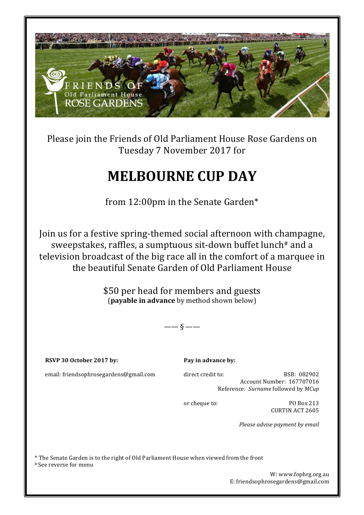

Please join the Friends of Old Parliament House Rose Gardens on Tuesday 7 November 2017 for

# **MELBOURNE CUP DAY**

from 12:00pm in the Senate Garden\*

Join us for a festive spring-themed social afternoon with champagne, sweepstakes, raffles, a sumptuous sit-down buffet lunch<sup>#</sup> and a television broadcast of the big race all in the comfort of a marquee in the beautiful Senate Garden of Old Parliament House

> \$50 per head for members and guests (**payable in advance** by method shown below)

> > $\frac{\ }{\ }$   $\frac{\ }{\ }$

**RSVP 30 October 2017 by:**

Pay in advance by:

email: friendsophrosegardens@gmail.com

direct credit to: BSB: 082902 Account Number: 167707016 Reference: *Surname* followed by *MCup* 

or cheque to: PO Box 213 CURTIN ACT 2605

*Please advise payment by email* 

\* The Senate Garden is to the right of Old Parliament House when viewed from the front 

# See reverse for menu

W: www.fophrg.org.au E: friendsophrosegardens@gmail.com